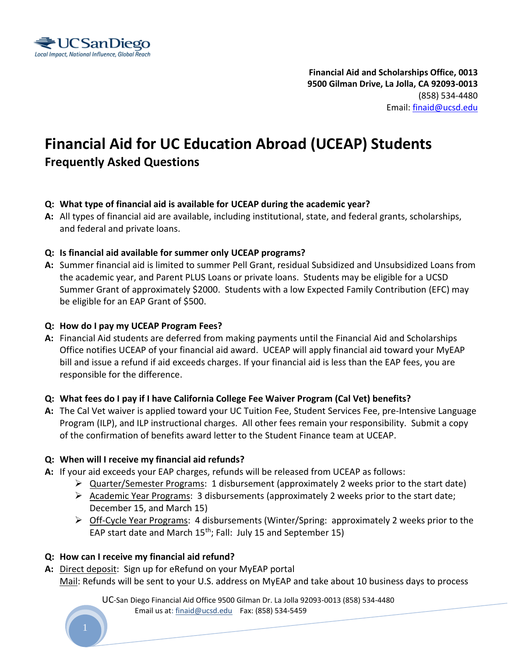

**Financial Aid and Scholarships Office, 0013 9500 Gilman Drive, La Jolla, CA 92093-0013**  (858) 534-4480 Email: [finaid@ucsd.edu](mailto:finaid@ucsd.edu)

# **Financial Aid for UC Education Abroad (UCEAP) Students Frequently Asked Questions**

#### **Q: What type of financial aid is available for UCEAP during the academic year?**

- **A:** All types of financial aid are available, including institutional, state, and federal grants, scholarships, and federal and private loans.
- **Q: Is financial aid available for summer only UCEAP programs?**
- **A:** Summer financial aid is limited to summer Pell Grant, residual Subsidized and Unsubsidized Loans from the academic year, and Parent PLUS Loans or private loans. Students may be eligible for a UCSD Summer Grant of approximately \$2000. Students with a low Expected Family Contribution (EFC) may be eligible for an EAP Grant of \$500.

#### **Q: How do I pay my UCEAP Program Fees?**

**A:** Financial Aid students are deferred from making payments until the Financial Aid and Scholarships Office notifies UCEAP of your financial aid award. UCEAP will apply financial aid toward your MyEAP bill and issue a refund if aid exceeds charges. If your financial aid is less than the EAP fees, you are responsible for the difference.

#### **Q: What fees do I pay if I have California College Fee Waiver Program (Cal Vet) benefits?**

**A:** The Cal Vet waiver is applied toward your UC Tuition Fee, Student Services Fee, pre-Intensive Language Program (ILP), and ILP instructional charges. All other fees remain your responsibility. Submit a copy of the confirmation of benefits award letter to the Student Finance team at UCEAP.

#### **Q: When will I receive my financial aid refunds?**

- **A:** If your aid exceeds your EAP charges, refunds will be released from UCEAP as follows:
	- $\triangleright$  Quarter/Semester Programs: 1 disbursement (approximately 2 weeks prior to the start date)
	- $\triangleright$  Academic Year Programs: 3 disbursements (approximately 2 weeks prior to the start date; December 15, and March 15)
	- $\triangleright$  Off-Cycle Year Programs: 4 disbursements (Winter/Spring: approximately 2 weeks prior to the EAP start date and March  $15<sup>th</sup>$ ; Fall: July 15 and September 15)

#### **Q: How can I receive my financial aid refund?**

**A:** Direct deposit: Sign up for eRefund on your MyEAP portal Mail: Refunds will be sent to your U.S. address on MyEAP and take about 10 business days to process

> UC-San Diego Financial Aid Office 9500 Gilman Dr. La Jolla 92093-0013 (858) 534-4480 Email us at: finaid@ucsd.edu Fax: (858) 534-5459